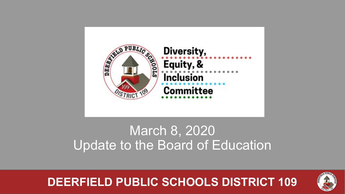

## March 8, 2020 Update to the Board of Education

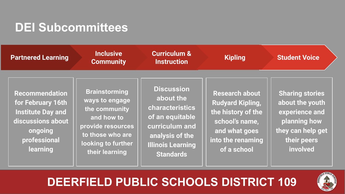#### **DEI Subcommittees**

| <b>Partnered Learning</b>                                                                                                                 | <b>Inclusive</b><br><b>Community</b>                                                                                                                   | <b>Curriculum &amp;</b><br><b>Instruction</b>                                                                                                             | <b>Kipling</b>                                                                                                                                | <b>Student Voice</b>                                                                                                        |
|-------------------------------------------------------------------------------------------------------------------------------------------|--------------------------------------------------------------------------------------------------------------------------------------------------------|-----------------------------------------------------------------------------------------------------------------------------------------------------------|-----------------------------------------------------------------------------------------------------------------------------------------------|-----------------------------------------------------------------------------------------------------------------------------|
| <b>Recommendation</b><br>for February 16th<br><b>Institute Day and</b><br>discussions about<br>ongoing<br>professional<br><b>learning</b> | <b>Brainstorming</b><br>ways to engage<br>the community<br>and how to<br>provide resources<br>to those who are<br>looking to further<br>their learning | <b>Discussion</b><br>about the<br>characteristics<br>of an equitable<br>curriculum and<br>analysis of the<br><b>Illinois Learning</b><br><b>Standards</b> | <b>Research about</b><br><b>Rudyard Kipling,</b><br>the history of the<br>school's name,<br>and what goes<br>into the renaming<br>of a school | <b>Sharing stories</b><br>about the youth<br>experience and<br>planning how<br>they can help get<br>their peers<br>involved |

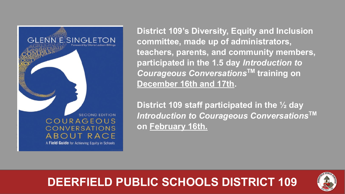

**District 109's Diversity, Equity and Inclusion committee, made up of administrators, teachers, parents, and community members, participated in the 1.5 day** *Introduction to Courageous Conversations***TM training on December 16th and 17th.** 

**District 109 staff participated in the ½ day**  *Introduction to Courageous Conversations***TM on February 16th.**

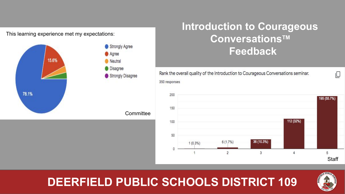

#### **Introduction to Courageous ConversationsTM Feedback**

Rank the overall quality of the Introduction to Courageous Conversations seminar. 350 responses



#### **DEERFIELD PUBLIC SCHOOLS DISTRICT 109**



ıО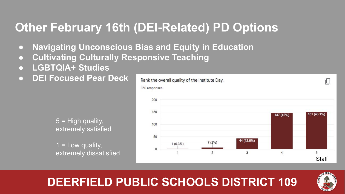## **Other February 16th (DEI-Related) PD Options**

- **● Navigating Unconscious Bias and Equity in Education**
- **● Cultivating Culturally Responsive Teaching**
- **● LGBTQIA+ Studies**
- **● DEI Focused Pear Deck**

5 = High quality, extremely satisfied

 $1 =$  Low quality, extremely dissatisfied



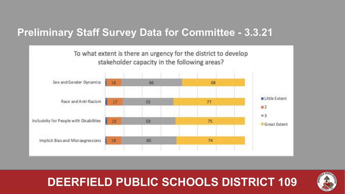#### **Preliminary Staff Survey Data for Committee - 3.3.21**



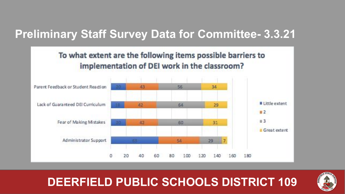#### **Preliminary Staff Survey Data for Committee- 3.3.21**



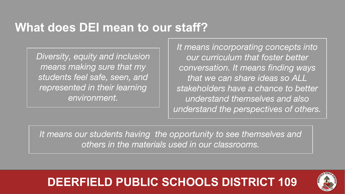## **What does DEI mean to our staff?**

*Diversity, equity and inclusion means making sure that my students feel safe, seen, and represented in their learning environment.*

*It means incorporating concepts into our curriculum that foster better conversation. It means finding ways that we can share ideas so ALL stakeholders have a chance to better understand themselves and also understand the perspectives of others.*

*It means our students having the opportunity to see themselves and others in the materials used in our classrooms.*

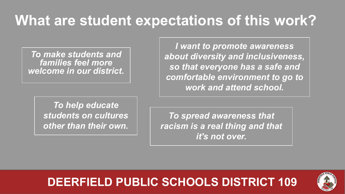## **What are student expectations of this work?**

*To make students and families feel more welcome in our district.*

> *To help educate students on cultures other than their own.*

*I want to promote awareness about diversity and inclusiveness, so that everyone has a safe and comfortable environment to go to work and attend school.* 

*To spread awareness that racism is a real thing and that it's not over.*

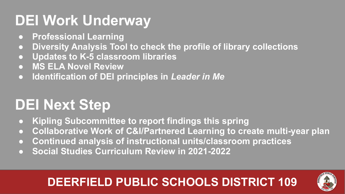## **DEI Work Underway**

- **● Professional Learning**
- **● Diversity Analysis Tool to check the profile of library collections**
- **● Updates to K-5 classroom libraries**
- **● MS ELA Novel Review**
- **● Identification of DEI principles in** *Leader in Me*

# **DEI Next Step**

- **● Kipling Subcommittee to report findings this spring**
- **● Collaborative Work of C&I/Partnered Learning to create multi-year plan**
- **● Continued analysis of instructional units/classroom practices**
- **● Social Studies Curriculum Review in 2021-2022**